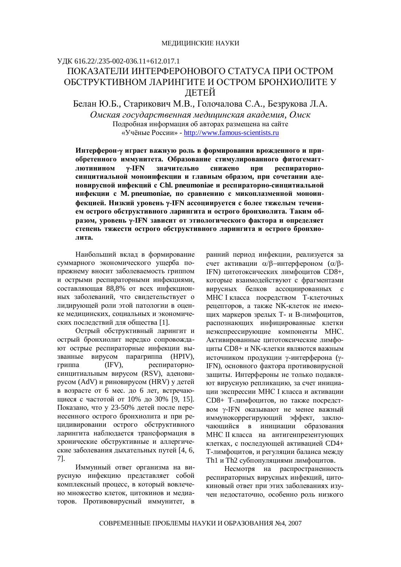ɍȾɄ 616.22/.235-002-036.11+612.017.1

# ПОКАЗАТЕЛИ ИНТЕРФЕРОНОВОГО СТАТУСА ПРИ ОСТРОМ ОБСТРУКТИВНОМ ЛАРИНГИТЕ И ОСТРОМ БРОНХИОЛИТЕ У ЛЕТЕЙ

Белан Ю.Б., Старикович М.В., Голочалова С.А., Безрукова Л.А. *Ɉɦɫɤɚɹɝɨɫɭɞɚɪɫɬɜɟɧɧɚɹɦɟɞɢɰɢɧɫɤɚɹɚɤɚɞɟɦɢɹ, Ɉɦɫɤ*

> Подробная информация об авторах размещена на сайте «Учёные России» - http://www.famous-scientists.ru

Интерферон-у играет важную роль в формировании врожденного и при**обретенного иммунитета. Образование стимулированного фитогемагг**лютинином у-IFN значительно снижено при респираторносинцитиальной моноинфекции и главным образом, при сочетании аденовирусной инфекций с Chl. pneumoniae и респираторно-синцитиальной инфекции с М. pneumoniae, по сравнению с микоплазменной моноин- $\Phi$ екцией. Низкий уровень у-IFN ассоциируется с более тяжелым теченикм острого обструктивного ларингита и острого бронхиолита. Таким об**разом, уровень у-IFN зависит от этиологического фактора и определяет** степень тяжести острого обструктивного ларингита и острого бронхио-**ЛИТА.** 

Наибольший вклад в формирование суммарного экономического ущерба попрежнему вносит заболеваемость гриппом и острыми респираторными инфекциями, составляющая 88,8% от всех инфекционных заболеваний, что свидетельствует о лидирующей роли этой патологии в оценке мелицинских, социальных и экономических последствий для общества [1].

Острый обструктивный ларингит и острый бронхиолит нередко сопровождают острые респираторные инфекции вызванные вирусом парагриппа (HPIV), гриппа (IFV), респираторносинцитиальным вирусом (RSV), аденовирусом (AdV) и риновирусом (HRV) у детей в возрасте от 6 мес. до 6 лет, встречающиеся с частотой от 10% до 30% [9, 15]. Показано, что у 23-50% детей после перенесенного острого бронхиолита и при рецидивировании острого обструктивного ларингита наблюдается трансформация в хронические обструктивные и аллергические заболевания дыхательных путей [4, 6, 7].

Иммунный ответ организма на вирусную инфекцию представляет собой комплексный процесс, в который вовлечено множество клеток, цитокинов и медиаторов. Противовирусный иммунитет, в ранний период инфекции, реализуется за счет активации  $\alpha/\beta$ -интерфероном ( $\alpha/\beta$ -IFN) цитотоксических лимфоцитов CD8+, которые взаимодействуют с фрагментами вирусных белков ассоциированных с МНС I класса посредством Т-клеточных рецепторов, а также NK-клеток не имеющих маркеров зрелых Т- и В-лимфоцитов, распознающих инфицированные клетки неэкспрессирующие компоненты МНС. Активированные цитотоксические лимфо- $\mu$ ииты CD8+ и NK-клетки являются важным источником продукции у-интерферона (у-IFN), основного фактора противовирусной защиты. Интерфероны не только подавляют вирусную репликацию, за счет инициации экспрессии МНС I класса и активации CD8+ Т-лимфоцитов, но также посредством у-IFN оказывают не менее важный иммунокоррегирующий эффект, заключающийся в инициации образования МНС II класса на антигенпрезентующих клетках, с последующей активацией CD4+ Т-лимфоцитов, и регуляции баланса между Th1 и Th2 субпопуляциями лимфоцитов.

Несмотря на распространенность респираторных вирусных инфекций, цитокиновый ответ при этих заболеваниях изучен недостаточно, особенно роль низкого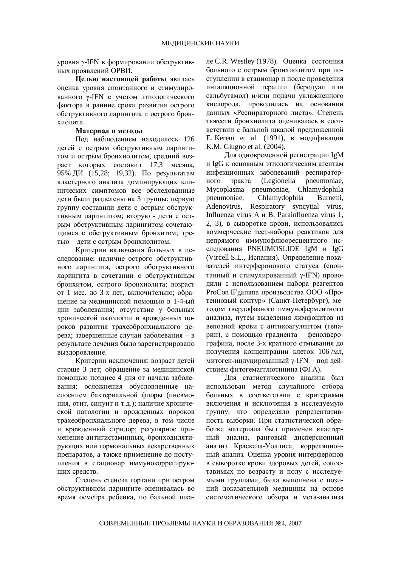уровня  $\gamma$ -IFN в формировании обструктивных проявлений ОРВИ.

**Шелью настояшей работы явилась** оценка уровня спонтанного и стимулированного y-IFN с учетом этиологического фактора в ранние сроки развития острого обструктивного ларингита и острого бронхиолита.

### Материал и методы

Под наблюдением находилось 126 детей с острым обструктивным ларингитом и острым бронхиолитом, средний возраст которых составил 17,3 месяца,  $95\%$  ДИ (15,28; 19,32). По результатам кластерного анализа доминирующих клинических симптомов все обследованные дети были разделены на 3 группы: первую группу составили дети с острым обструктивным ларингитом; вторую - дети с острым обструктивным ларингитом сочетающимся с обструктивным бронхитом; третью – дети с острым бронхиолитом.

Критерии включения больных в исследование: наличие острого обструктивного ларингита, острого обструктивного ларингита в сочетании с обструктивным бронхитом, острого бронхиолита; возраст от 1 мес. до 3-х лет, включительно; обращение за медицинской помощью в 1-4-ый дни заболевания; отсутствие у больных хронической патологии и врожденных пороков развития трахеобронхиального дерева; завершенные случаи заболевания – в результате лечения было зарегистрировано выздоровление.

Критерии исключения: возраст летей старше 3 лет; обращение за медицинской помощью позднее 4 дня от начала заболевания; осложнения обусловленные наслоением бактериальной флоры (пневмония, отит, синуит и т.д.); наличие хронической патологии и врожденных пороков трахеобронхиального дерева, в том числе и врожденный стридор; регулярное применение антигистаминных, бронходилятирующих или гормональных лекарственных препаратов, а также применение до поступления в стационар иммунокоррегирующих средств.

Степень стеноза гортани при остром обструктивном ларингите оценивалась во время осмотра ребенка, по бальной шкале C.R. Westley (1978). Оценка состояния больного с острым бронхиолитом при поступлении в стационар и после проведения ингаляционной терапии (беродуал или сальбутамол) и/или подачи увлажненного кислорода, проводилась на основании данных «Респираторного листа». Степень тяжести бронхиолита оценивалась в соответствии с бальной шкалой предложенной E. Kerem et al. (1991), в модификации K.M. Giugno et al. (2004).

Для одновременной регистрации IgM и IgG к основным этиологическим агентам инфекционных заболеваний респираторного тракта (Legionella pneumoniae, Mycoplasma pneumoniae, Chlamydophila pneumoniae, Chlamydophila Burnetti, Adenovirus, Respiratory syncytial virus, Influenza virus A  $\mu$  B, Parainfluenza virus 1, 2, 3), в сыворотке крови, использовались коммерческие тест-наборы реактивов для непрямого иммунофлюоресцентного исследования PNEUMOSLIDE IgM и IgG (Vircell S.L., Испания). Определение показателей интерферонового статуса (спонтанный и стимулированный y-IFN) проводили с использованием набора реагентов ProCon IFgamma производства ООО «Протеиновый контур» (Санкт-Петербург), методом твердофазного иммуноферментного анализа, путем выделения лимфоцитов из венозной крови с антикоагулянтом (гепарин), с помощью градиента – фенолверографина, после 3-х кратного отмывания до получения концентрации клеток 106 /мл. митоген-индуцированный  $\gamma$ -IFN – под действием фитогемагглютинина (ФГА).

Для статистического анализа был использован метод случайного отбора больных в соответствии с критериями включения и исключения в исследуемую группу, что определяло репрезентативность выборки. При статистической обработке материала был применен кластерный анализ, ранговый дисперсионный анализ Краскела-Уоллиса, корреляционный анализ. Оценка уровня интерферонов в сыворотке крови здоровых детей, сопоставимых по возрасту и полу с исследуемыми группами, была выполнена с позиций доказательной медицины на основе систематического обзора и мета-анализа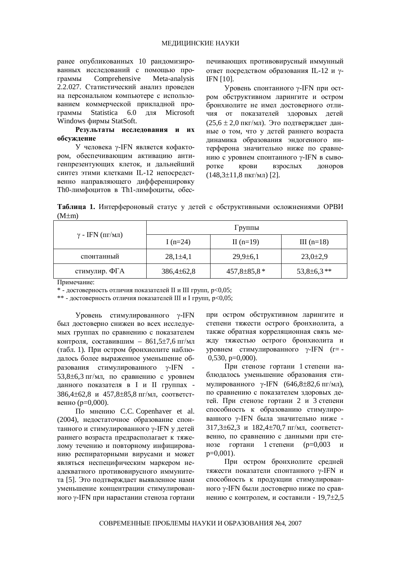ранее опубликованных 10 рандомизированных исследований с помощью программы Comprehensive Meta-analysis 2.2.027. Статистический анализ проведен на персональном компьютере с использованием коммерческой прикладной программы Statistica 6.0 для Microsoft Windows фирмы StatSoft.

## Результаты исследования и их **обсуждение**

У человека у-IFN является кофактором, обеспечивающим активацию антигенпрезентующих клеток, и дальнейший синтез этими клетками IL-12 непосредственно направляющего дифференцировку Th0-лимфоцитов в Th1-лимфоциты, обеспечивающих противовирусный иммунный ответ посредством образования IL-12 и γ-IFN [10].

Уровень спонтанного  $\gamma$ -IFN при остром обструктивном ларингите и остром бронхиолите не имел достоверного отличия от показателей здоровых детей  $(25.6 \pm 2.0 \text{ nkr/MI})$ . Это подтверждает данные о том, что у детей раннего возраста динамика образования эндогенного интерферона значительно ниже по сравнению с уровнем спонтанного γ-IFN в сыворотке крови взрослых доноров  $(148.3 \pm 11.8 \text{ nKT/MJ})$  [2].

Таблица 1. Интерфероновый статус у детей с обструктивными осложнениями ОРВИ  $(M \pm m)$ 

|                              | Группы          |                   |                 |  |
|------------------------------|-----------------|-------------------|-----------------|--|
| $\gamma$ - IFN ( $\pi r/m$ ) | I $(n=24)$      | II $(n=19)$       | III $(n=18)$    |  |
| спонтанный                   | $28,1\pm4,1$    | $29,9 \pm 6,1$    | $23,0{\pm}2,9$  |  |
| стимулир. ФГА                | $386,4\pm 62,8$ | $457,8 \pm 85,8*$ | $53,8\pm 6,3**$ |  |

Примечание:

 $*$  - достоверность отличия показателей II и III групп,  $p<0.05$ ;

\*\* - достоверность отличия показателей III и I групп, p<0,05;

Уровень стимулированного  $\nu$ -IFN был достоверно снижен во всех исследуемых группах по сравнению с показателем контроля, составившим –  $861,5\pm7,6$  пг/мл (табл. 1). При остром бронхиолите наблюдалось более выраженное уменьшение образования стимулированного  $\gamma$ -IFN  $53,8\pm6,3$  пг/мл, по сравнению с уровнем данного показателя в I и II группах -386,4±62,8 и 457,8±85,8 пг/мл, соответственно ( $p=0,000$ ).

По мнению С.С. Copenhaver et al. (2004), недостаточное образование спонтанного и стимулированного y-IFN у детей раннего возраста предрасполагает к тяжелому течению и повторному инфицированию респираторными вирусами и может являться неспецифическим маркером неадекватного противовирусного иммунитета [5]. Это подтверждает выявленное нами уменьшение концентрации стимулированного у-IFN при нарастании стеноза гортани

при остром обструктивном ларингите и степени тяжести острого бронхиолита, а также обратная корреляционная связь между тяжестью острого бронхиолита и уровнем стимулированного  $\gamma$ -IFN (r= - $0,530, p=0,000$ .

При стенозе гортани 1 степени наблюдалось уменьшение образования стимулированного  $v$ -IFN (646,8 $\pm$ 82,6 пг/мл), по сравнению с показателем здоровых детей. При стенозе гортани 2 и 3 степени способность к образованию стимулированного у-IFN была значительно ниже - $317,3\pm62,3$   $\mu$  182,4 $\pm$ 70,7  $\pi$ <sub>M</sub> $\mu$ , cootbetctвенно, по сравнению с данными при стенозе гортани 1 степени ( $p=0,003$  и  $p=0,001$ ).

При остром бронхиолите средней тяжести показатели спонтанного у-IFN и способность к продукции стимулированного у-IFN были достоверно ниже по сравнению с контролем, и составили - 19,7 $\pm$ 2,5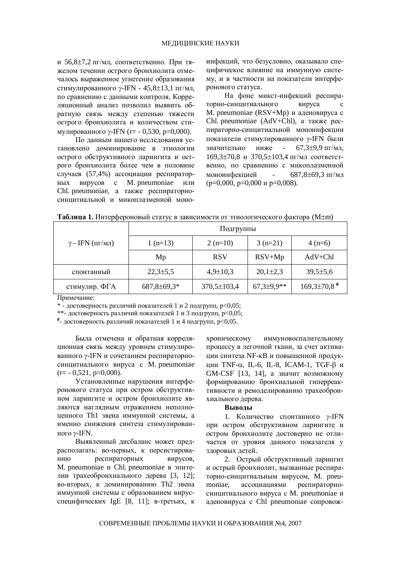и 56,8 $\pm$ 7,2 пг/мл, соответственно. При тяжелом течении острого бронхиолита отмечалось выраженное угнетение образования стимулированного  $\gamma$ -IFN - 45,8 $\pm$ 13,1 пг/мл, по сравнению с данными контроля. Корреляционный анализ позволил выявить обратную связь между степенью тяжести острого бронхиолита и количеством стимулированного  $\gamma$ -IFN (r= - 0,530, p=0,000).

По ланным нашего исследования установлено доминирование в этиологии острого обструктивного ларингита и острого бронхиолита более чем в половине случаев (57,4%) ассоциации респираторных вирусов с М. pneumoniae или Chl. pneumoniae, а также респираторносинцитиальной и микоплазменной моноинфекций, что безусловно, оказывало специфическое влияние на иммунную систему, и в частности на показатели интерферонового статуса.

На фоне микст-инфекций респираторно-синцитиального вируса с M. pneumoniae (RSV+Mp) и аденовируса с Chl. pneumoniae (AdV+Chl), a также pecпираторно-синцитиальной моноинфекции показатели стимулированного у-IFN были значительно ниже - 67,3<sup>+9</sup>,9 пг/мл,  $169.3\pm70.8$   $\mu$  370.5 $\pm103.4$   $\pi$ <sub>M</sub> cootbetctвенно, по сравнению с микоплазменной моноинфекцией - 687,8±69,3 пг/мл  $(p=0,000, p=0,000 \text{ m } p=0,008).$ 

|                                           | Подгруппы         |                   |                     |                             |  |
|-------------------------------------------|-------------------|-------------------|---------------------|-----------------------------|--|
| $\gamma$ - IFN ( $\text{III}/\text{MI}$ ) | $1(n=13)$         | $2(n=10)$         | $3(n=21)$           | $4(n=6)$                    |  |
|                                           | Mp                | <b>RSV</b>        | $RSV+Mp$            | $AdV + Chl$                 |  |
| спонтанный                                | $22,3 \pm 5,5$    | $4,9 \pm 10,3$    | $20,1\pm 2,3$       | $39,5 \pm 5,6$              |  |
| стимулир. ФГА                             | $687,8 \pm 69,3*$ | $370,5 \pm 103,4$ | $67,3{\pm}9,9^{**}$ | $169,3\pm70,8$ <sup>#</sup> |  |

| <b>Таблица 1.</b> Интерфероновый статус в зависимости от этиологического фактора (М $\pm$ m) |
|----------------------------------------------------------------------------------------------|
|----------------------------------------------------------------------------------------------|

Примечание:

 $*$  - достоверность различий показателей 1 и 2 подгрупп,  $p<0,05$ ;

\*\*- достоверность различий показателей 1 и 3 подгрупп,  $p<0,05$ ;

 $^*$ - достоверность различий показателей 1 и 4 подгрупп, р<0,05.

Была отмечена и обратная корреляционная связь между уровнем стимулированного  $\gamma$ -IFN и сочетанием респираторносинцитиального вируса с M. pneumoniae  $(r=-0.521, p=0.000)$ .

Установленные нарушения интерферонового статуса при остром обструктивном ларингите и остром бронхиолите являются наглядным отражением неполноценного Th1 звена иммунной системы, а именно снижения синтеза стимулированного  $v$ -IFN.

Выявленный дисбаланс может предрасполагать: во-первых, к персистированию респираторных вирусов, M. pneumoniae и Chl. pneumoniae в эпителии трахеобронхиального дерева [3, 12]; во-вторых, к доминированию Th2 звена иммунной системы с образованием вирусспецифических IgE [8, 11]; в-третьих, к

хроническому иммуновоспалительному процессу в легочной ткани, за счет активации синтеза NF-кВ и повышенной продукции ТNF- $\alpha$ , IL-6, IL-8, ICAM-1, TGF- $\beta$  и GM-CSF [13, 14], а значит возможному формированию бронхиальной гиперреактивности и ремоделированию трахеобронхиального лерева.

#### **Выволы**

1. Количество спонтанного y-IFN при остром обструктивном ларингите и остром бронхиолите достоверно не отличается от уровня данного показателя у здоровых детей.

2. Острый обструктивный ларингит и острый бронхиолит, вызванные респираторно-синцитиальным вирусом. М. pneumoniae, ассоциациями респираторносинцитиального вируса с M. pneumoniae и аденовируса с Chl pneumoniae сопровож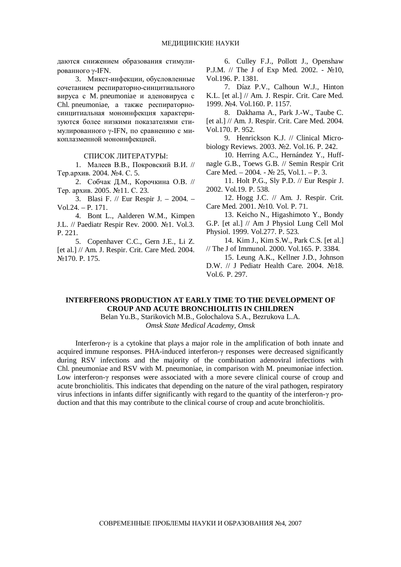даются снижением образования стимулированного y-IFN.

3. Микст-инфекции, обусловленные сочетанием респираторно-синцитиального вируса с M. pneumoniae и аденовируса с Chl. pneumoniae, а также респираторносинцитиальная моноинфекция характеризуются более низкими показателями стимулированного  $\gamma$ -IFN, по сравнению с микоплазменной моноинфекцией.

#### СПИСОК ЛИТЕРАТУРЫ:

1. Малеев В.В., Покровский В.И. // Тер.архив. 2004. №4. С. 5.

2. Собчак Д.М., Корочкина О.В. // Тер. архив. 2005. №11. С. 23.

3. Blasi F. // Eur Respir J. – 2004. – Vol.24. – P. 171.

4. Bont L., Aalderen W.M., Kimpen J.L. // Paediatr Respir Rev. 2000.  $\mathbb{N}$ <sup>1</sup>. Vol.3. P. 221.

5. Copenhaver C.C., Gern J.E., Li Z. [et al.] // Am. J. Respir. Crit. Care Med. 2004.  $N<sub>0</sub>170.$  P. 175.

6. Culley F.J., Pollott J., Openshaw P.J.M. // The J of Exp Med. 2002. -  $\mathcal{N}$ <sup>010</sup>, Vol.196. P. 1381.

7. Díaz P.V., Calhoun W.J., Hinton K.L. [et al.] // Am. J. Respir. Crit. Care Med. 1999. ʋ4. Vol.160. P. 1157.

8. Dakhama A., Park J.-W., Taube C. [et al.] // Am. J. Respir. Crit. Care Med. 2004. Vol.170. P. 952.

9. Henrickson K.J. // Clinical Microbiology Reviews. 2003. №2. Vol.16. P. 242.

10. Herring A.C., Hernández Y., Huffnagle G.B., Toews G.B. // Semin Respir Crit Care Med.  $-2004$ .  $\cdot$  No 25, Vol.1.  $-$  P.3.

11. Holt P.G., Sly P.D. // Eur Respir J. 2002. Vol.19. P. 538.

12. Hogg J.C. // Am. J. Respir. Crit. Care Med. 2001. №10. Vol. P. 71.

13. Keicho N., Higashimoto Y., Bondy G.P. [et al.] // Am J Physiol Lung Cell Mol Physiol. 1999. Vol.277. P. 523.

14. Kim J., Kim S.W., Park C.S. [et al.] // The J of Immunol. 2000. Vol.165. P. 3384.

15. Leung A.K., Kellner J.D., Johnson D.W. // J Pediatr Health Care. 2004. No18. Vol.6. P. 297.

## **INTERFERONS PRODUCTION AT EARLY TIME TO THE DEVELOPMENT OF CROUP AND ACUTE BRONCHIOLITIS IN CHILDREN**

Belan Yu.B., Starikovich M.B., Golochalova S.A., Bezrukova L.A. *Omsk State Medical Academy, Omsk* 

Interferon- $\gamma$  is a cytokine that plays a major role in the amplification of both innate and acquired immune responses. PHA-induced interferon- $\gamma$  responses were decreased significantly during RSV infections and the majority of the combination adenoviral infections with Chl. pneumoniae and RSV with M. pneumoniae, in comparison with M. pneumoniae infection. Low interferon- $\gamma$  responses were associated with a more severe clinical course of croup and acute bronchiolitis. This indicates that depending on the nature of the viral pathogen, respiratory virus infections in infants differ significantly with regard to the quantity of the interferon- $\gamma$  production and that this may contribute to the clinical course of croup and acute bronchiolitis.